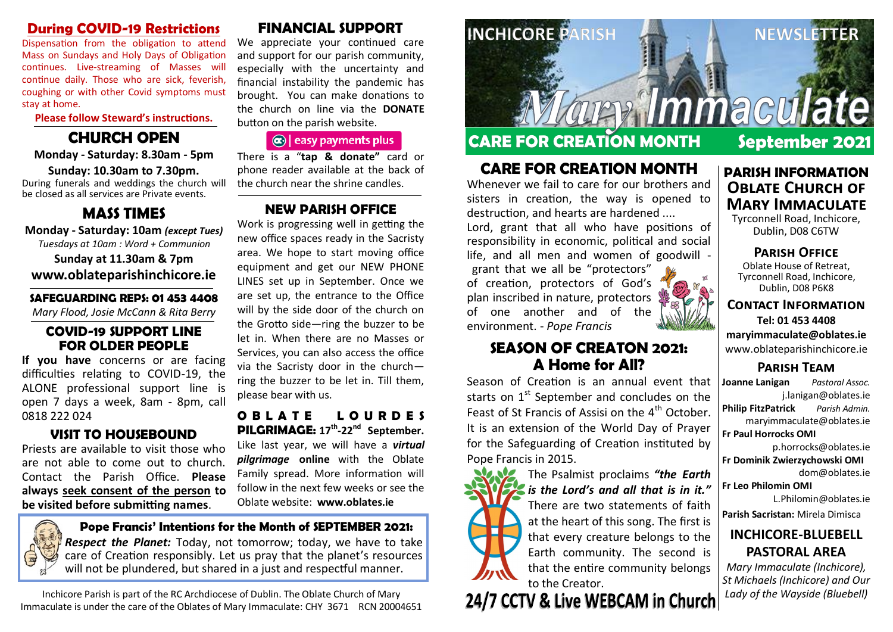## **During COVID-19 Restrictions**

Dispensation from the obligation to attend Mass on Sundays and Holy Days of Obligation continues. Live-streaming of Masses will continue daily. Those who are sick, feverish, coughing or with other Covid symptoms must stay at home.

#### **Please follow Steward's instructions.**

# **CHURCH OPEN**

#### **Monday - Saturday: 8.30am - 5pm Sunday: 10.30am to 7.30pm.**

During funerals and weddings the church will be closed as all services are Private events.

# **MASS TIMES**

**Monday - Saturday: 10am** *(except Tues) Tuesdays at 10am : Word + Communion* **Sunday at 11.30am & 7pm www.oblateparishinchicore.ie**

#### **SAFEGUARDING REPS: 01 453 4408**

*Mary Flood, Josie McCann & Rita Berry*

# **COVID-19 SUPPORT LINE FOR OLDER PEOPLE**

**If you have** concerns or are facing difficulties relating to COVID-19, the ALONE professional support line is open 7 days a week, 8am - 8pm, call 0818 222 024

# **VISIT TO HOUSEBOUND**

Priests are available to visit those who are not able to come out to church. Contact the Parish Office. **Please always seek consent of the person to be visited before submitting names**.

# **FINANCIAL SUPPORT**

We appreciate your continued care and support for our parish community, especially with the uncertainty and financial instability the pandemic has brought. You can make donations to the church on line via the **DONATE** button on the parish website.

# $\left| \mathbf{a} \right|$  easy payments plus

There is a "**tap & donate"** card or phone reader available at the back of the church near the shrine candles.

# **NEW PARISH OFFICE**

Work is progressing well in getting the new office spaces ready in the Sacristy area. We hope to start moving office equipment and get our NEW PHONE LINES set up in September. Once we are set up, the entrance to the Office will by the side door of the church on the Grotto side—ring the buzzer to be let in. When there are no Masses or Services, you can also access the office via the Sacristy door in the church ring the buzzer to be let in. Till them, please bear with us.

#### **O B L A T E L O U R D E S PILGRIMAGE: 17th -22nd September.**  Like last year, we will have a *virtual pilgrimage* **online** with the Oblate Family spread. More information will follow in the next few weeks or see the Oblate website: **www.oblates.ie**

**Pope Francis' Intentions for the Month of SEPTEMBER 2021:** *Respect the Planet:* Today, not tomorrow; today, we have to take care of Creation responsibly. Let us pray that the planet's resources will not be plundered, but shared in a just and respectful manner.

Inchicore Parish is part of the RC Archdiocese of Dublin. The Oblate Church of Mary Immaculate is under the care of the Oblates of Mary Immaculate: CHY 3671 RCN 20004651



# **CARE FOR CREATION MONTH September 2021**

# **CARE FOR CREATION MONTH**

Whenever we fail to care for our brothers and sisters in creation, the way is opened to destruction, and hearts are hardened ....

Lord, grant that all who have positions of responsibility in economic, political and social life, and all men and women of goodwill -

grant that we all be "protectors" of creation, protectors of God's plan inscribed in nature, protectors of one another and of the environment. - *Pope Francis*

# **SEASON OF CREATON 2021: A Home for All?**

Season of Creation is an annual event that starts on  $1<sup>st</sup>$  September and concludes on the Feast of St Francis of Assisi on the  $4<sup>th</sup>$  October. It is an extension of the World Day of Prayer for the Safeguarding of Creation instituted by Pope Francis in 2015.



The Psalmist proclaims *"the Earth is the Lord's and all that is in it."*  There are two statements of faith at the heart of this song. The first is that every creature belongs to the Earth community. The second is that the entire community belongs

# to the Creator.<br>24/7 CCTV & Live WEBCAM in Church



#### **PARISH INFORMATION OBLATE CHURCH OF Mary Immaculate**

Tyrconnell Road, Inchicore, Dublin, D08 C6TW

**Parish Office** Oblate House of Retreat, Tyrconnell Road, Inchicore, Dublin, D08 P6K8

**Contact Information Tel: 01 453 4408 maryimmaculate@oblates.ie** www.oblateparishinchicore.ie

# **Parish Team**

**Joanne Lanigan** *Pastoral Assoc.* j.lanigan@oblates.ie **Philip FitzPatrick** *Parish Admin.* maryimmaculate@oblates.ie **Fr Paul Horrocks OMI**  p.horrocks@oblates.ie

**Fr Dominik Zwierzychowski OMI** dom@oblates.ie

**Fr Leo Philomin OMI**

L.Philomin@oblates.ie **Parish Sacristan:** Mirela Dimisca

# **INCHICORE-BLUEBELL PASTORAL AREA**

*Mary Immaculate (Inchicore), St Michaels (Inchicore) and Our Lady of the Wayside (Bluebell)*